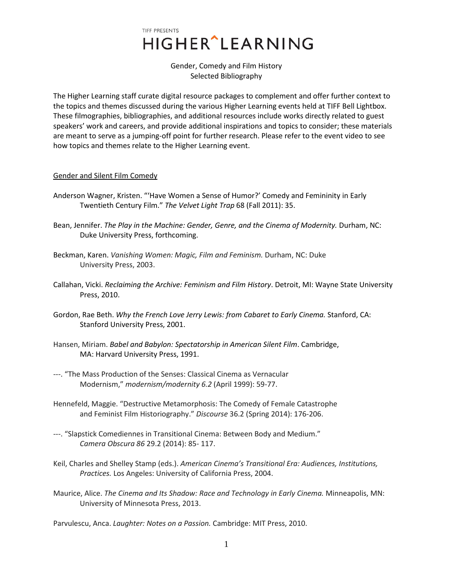Gender, Comedy and Film History Selected Bibliography

The Higher Learning staff curate digital resource packages to complement and offer further context to the topics and themes discussed during the various Higher Learning events held at TIFF Bell Lightbox. These filmographies, bibliographies, and additional resources include works directly related to guest speakers' work and careers, and provide additional inspirations and topics to consider; these materials are meant to serve as a jumping-off point for further research. Please refer to the event video to see how topics and themes relate to the Higher Learning event.

#### Gender and Silent Film Comedy

- Anderson Wagner, Kristen. "'Have Women a Sense of Humor?' Comedy and Femininity in Early Twentieth Century Film." *The Velvet Light Trap* 68 (Fall 2011): 35.
- Bean, Jennifer. *The Play in the Machine: Gender, Genre, and the Cinema of Modernity*. Durham, NC: Duke University Press, forthcoming.
- Beckman, Karen. *Vanishing Women: Magic, Film and Feminism.* Durham, NC: Duke University Press, 2003.
- Callahan, Vicki. *Reclaiming the Archive: Feminism and Film History*. Detroit, MI: Wayne State University Press, 2010.
- Gordon, Rae Beth. *Why the French Love Jerry Lewis: from Cabaret to Early Cinema.* Stanford, CA: Stanford University Press, 2001.
- Hansen, Miriam. *Babel and Babylon: Spectatorship in American Silent Film*. Cambridge, MA: Harvard University Press, 1991.
- ---. "The Mass Production of the Senses: Classical Cinema as Vernacular Modernism," *modernism/modernity 6.2* (April 1999): 59-77.
- Hennefeld, Maggie. "Destructive Metamorphosis: The Comedy of Female Catastrophe and Feminist Film Historiography." *Discourse* 36.2 (Spring 2014): 176-206.
- ---. "Slapstick Comediennes in Transitional Cinema: Between Body and Medium." *Camera Obscura 86* 29.2 (2014): 85- 117.
- Keil, Charles and Shelley Stamp (eds.). *American Cinema's Transitional Era: Audiences, Institutions, Practices.* Los Angeles: University of California Press, 2004.
- Maurice, Alice. *The Cinema and Its Shadow: Race and Technology in Early Cinema.* Minneapolis, MN: University of Minnesota Press, 2013.

Parvulescu, Anca. *Laughter: Notes on a Passion.* Cambridge: MIT Press, 2010.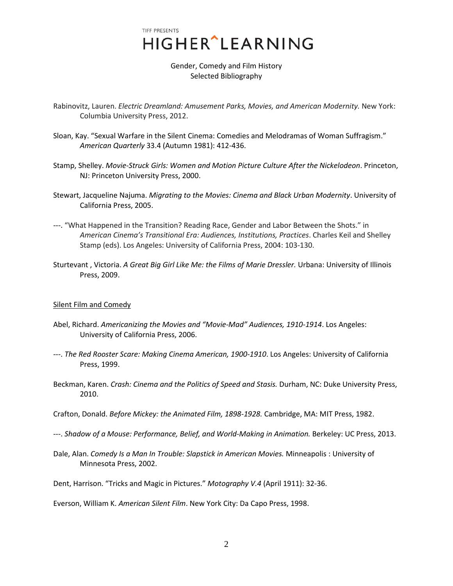Gender, Comedy and Film History Selected Bibliography

- Rabinovitz, Lauren. *Electric Dreamland: Amusement Parks, Movies, and American Modernity.* New York: Columbia University Press, 2012.
- Sloan, Kay. "Sexual Warfare in the Silent Cinema: Comedies and Melodramas of Woman Suffragism." *American Quarterly* 33.4 (Autumn 1981): 412-436.
- Stamp, Shelley. *Movie-Struck Girls: Women and Motion Picture Culture After the Nickelodeon*. Princeton, NJ: Princeton University Press, 2000.
- Stewart, Jacqueline Najuma. *Migrating to the Movies: Cinema and Black Urban Modernity*. University of California Press, 2005.
- ---. "What Happened in the Transition? Reading Race, Gender and Labor Between the Shots." in *American Cinema's Transitional Era: Audiences, Institutions, Practices*. Charles Keil and Shelley Stamp (eds). Los Angeles: University of California Press, 2004: 103-130.
- Sturtevant , Victoria. *A Great Big Girl Like Me: the Films of Marie Dressler.* Urbana: University of Illinois Press, 2009.

#### Silent Film and Comedy

- Abel, Richard. *Americanizing the Movies and "Movie-Mad" Audiences, 1910-1914*. Los Angeles: University of California Press, 2006.
- ---. *The Red Rooster Scare: Making Cinema American, 1900-1910*. Los Angeles: University of California Press, 1999.
- Beckman, Karen. *Crash: Cinema and the Politics of Speed and Stasis.* Durham, NC: Duke University Press, 2010.
- Crafton, Donald. *Before Mickey: the Animated Film, 1898-1928.* Cambridge, MA: MIT Press, 1982.
- ---. *Shadow of a Mouse: Performance, Belief, and World-Making in Animation.* Berkeley: UC Press, 2013.
- Dale, Alan. *Comedy Is a Man In Trouble: Slapstick in American Movies.* Minneapolis : University of Minnesota Press, 2002.
- Dent, Harrison. "Tricks and Magic in Pictures." *Motography V.4* (April 1911): 32-36.

Everson, William K. *American Silent Film*. New York City: Da Capo Press, 1998.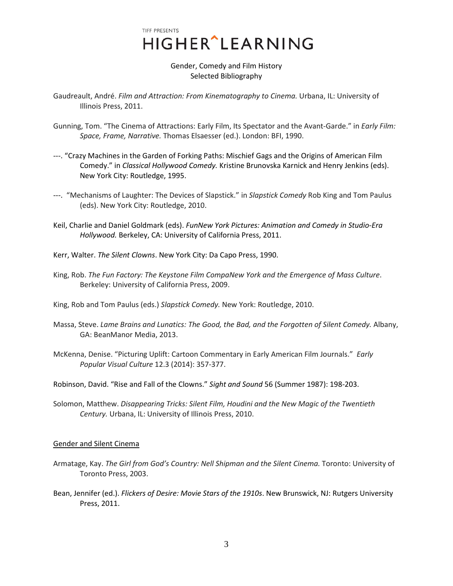### Gender, Comedy and Film History Selected Bibliography

- Gaudreault, André. *Film and Attraction: From Kinematography to Cinema.* Urbana, IL: University of Illinois Press, 2011.
- Gunning, Tom. "The Cinema of Attractions: Early Film, Its Spectator and the Avant-Garde." in *Early Film: Space, Frame, Narrative.* Thomas Elsaesser (ed.). London: BFI, 1990.
- ---. "Crazy Machines in the Garden of Forking Paths: Mischief Gags and the Origins of American Film Comedy." in *Classical Hollywood Comedy.* Kristine Brunovska Karnick and Henry Jenkins (eds). New York City: Routledge, 1995.
- ---. "Mechanisms of Laughter: The Devices of Slapstick." in *Slapstick Comedy* Rob King and Tom Paulus (eds). New York City: Routledge, 2010.
- Keil, Charlie and Daniel Goldmark (eds). *FunNew York Pictures: Animation and Comedy in Studio-Era Hollywood.* Berkeley, CA: University of California Press, 2011.
- Kerr, Walter. *The Silent Clowns*. New York City: Da Capo Press, 1990.
- King, Rob. *The Fun Factory: The Keystone Film CompaNew York and the Emergence of Mass Culture*. Berkeley: University of California Press, 2009.
- King, Rob and Tom Paulus (eds.) *Slapstick Comedy.* New York: Routledge, 2010.
- Massa, Steve. *Lame Brains and Lunatics: The Good, the Bad, and the Forgotten of Silent Comedy.* Albany, GA: BeanManor Media, 2013.
- McKenna, Denise. "Picturing Uplift: Cartoon Commentary in Early American Film Journals." *Early Popular Visual Culture* 12.3 (2014): 357-377.
- Robinson, David. "Rise and Fall of the Clowns." *Sight and Sound* 56 (Summer 1987): 198-203.
- Solomon, Matthew. *Disappearing Tricks: Silent Film, Houdini and the New Magic of the Twentieth Century.* Urbana, IL: University of Illinois Press, 2010.

#### Gender and Silent Cinema

- Armatage, Kay. *The Girl from God's Country: Nell Shipman and the Silent Cinema.* Toronto: University of Toronto Press, 2003.
- Bean, Jennifer (ed.). *Flickers of Desire: Movie Stars of the 1910s*. New Brunswick, NJ: Rutgers University Press, 2011.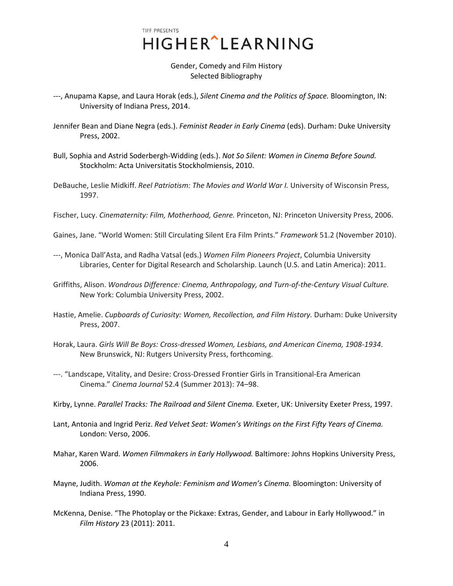### Gender, Comedy and Film History Selected Bibliography

- ---, Anupama Kapse, and Laura Horak (eds.), *Silent Cinema and the Politics of Space.* Bloomington, IN: University of Indiana Press, 2014.
- Jennifer Bean and Diane Negra (eds.). *Feminist Reader in Early Cinema* (eds). Durham: Duke University Press, 2002.
- Bull, Sophia and Astrid Soderbergh-Widding (eds.). *Not So Silent: Women in Cinema Before Sound.*  Stockholm: Acta Universitatis Stockholmiensis, 2010.
- DeBauche, Leslie Midkiff. *Reel Patriotism: The Movies and World War I.* University of Wisconsin Press, 1997.
- Fischer, Lucy. *Cinematernity: Film, Motherhood, Genre.* Princeton, NJ: Princeton University Press, 2006.
- Gaines, Jane. "World Women: Still Circulating Silent Era Film Prints." *Framework* 51.2 (November 2010).
- ---, Monica Dall'Asta, and Radha Vatsal (eds.) *Women Film Pioneers Project*, Columbia University Libraries, Center for Digital Research and Scholarship. Launch (U.S. and Latin America): 2011.
- Griffiths, Alison. *Wondrous Difference: Cinema, Anthropology, and Turn-of-the-Century Visual Culture.*  New York: Columbia University Press, 2002.
- Hastie, Amelie. *Cupboards of Curiosity: Women, Recollection, and Film History.* Durham: Duke University Press, 2007.
- Horak, Laura. *Girls Will Be Boys: Cross-dressed Women, Lesbians, and American Cinema, 1908-1934*. New Brunswick, NJ: Rutgers University Press, forthcoming.
- ---. "Landscape, Vitality, and Desire: Cross-Dressed Frontier Girls in Transitional-Era American Cinema." *Cinema Journal* 52.4 (Summer 2013): 74–98.
- Kirby, Lynne. *Parallel Tracks: The Railroad and Silent Cinema.* Exeter, UK: University Exeter Press, 1997.
- Lant, Antonia and Ingrid Periz. *Red Velvet Seat: Women's Writings on the First Fifty Years of Cinema.*  London: Verso, 2006.
- Mahar, Karen Ward. *Women Filmmakers in Early Hollywood.* Baltimore: Johns Hopkins University Press, 2006.
- Mayne, Judith. *Woman at the Keyhole: Feminism and Women's Cinema.* Bloomington: University of Indiana Press, 1990.
- McKenna, Denise. "The Photoplay or the Pickaxe: Extras, Gender, and Labour in Early Hollywood." in *Film History* 23 (2011): 2011.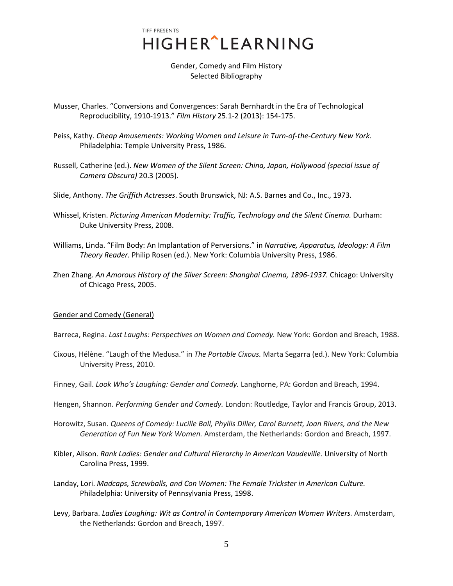Gender, Comedy and Film History Selected Bibliography

- Musser, Charles. "Conversions and Convergences: Sarah Bernhardt in the Era of Technological Reproducibility, 1910-1913." *Film History* 25.1-2 (2013): 154-175.
- Peiss, Kathy. *Cheap Amusements: Working Women and Leisure in Turn-of-the-Century New York.*  Philadelphia: Temple University Press, 1986.
- Russell, Catherine (ed.). *New Women of the Silent Screen: China, Japan, Hollywood (special issue of Camera Obscura)* 20.3 (2005).
- Slide, Anthony. *The Griffith Actresses*. South Brunswick, NJ: A.S. Barnes and Co., Inc., 1973.
- Whissel, Kristen. *Picturing American Modernity: Traffic, Technology and the Silent Cinema.* Durham: Duke University Press, 2008.
- Williams, Linda. "Film Body: An Implantation of Perversions." in *Narrative, Apparatus, Ideology: A Film Theory Reader.* Philip Rosen (ed.). New York: Columbia University Press, 1986.
- Zhen Zhang. *An Amorous History of the Silver Screen: Shanghai Cinema, 1896-1937.* Chicago: University of Chicago Press, 2005.

#### Gender and Comedy (General)

Barreca, Regina. *Last Laughs: Perspectives on Women and Comedy.* New York: Gordon and Breach, 1988.

- Cixous, Hélène. "Laugh of the Medusa." in *The Portable Cixous.* Marta Segarra (ed.). New York: Columbia University Press, 2010.
- Finney, Gail. *Look Who's Laughing: Gender and Comedy.* Langhorne, PA: Gordon and Breach, 1994.
- Hengen, Shannon. *Performing Gender and Comedy.* London: Routledge, Taylor and Francis Group, 2013.
- Horowitz, Susan. *Queens of Comedy: Lucille Ball, Phyllis Diller, Carol Burnett, Joan Rivers, and the New Generation of Fun New York Women.* Amsterdam, the Netherlands: Gordon and Breach, 1997.
- Kibler, Alison. *Rank Ladies: Gender and Cultural Hierarchy in American Vaudeville*. University of North Carolina Press, 1999.
- Landay, Lori. *Madcaps, Screwballs, and Con Women: The Female Trickster in American Culture.*  Philadelphia: University of Pennsylvania Press, 1998.
- Levy, Barbara. *Ladies Laughing: Wit as Control in Contemporary American Women Writers.* Amsterdam, the Netherlands: Gordon and Breach, 1997.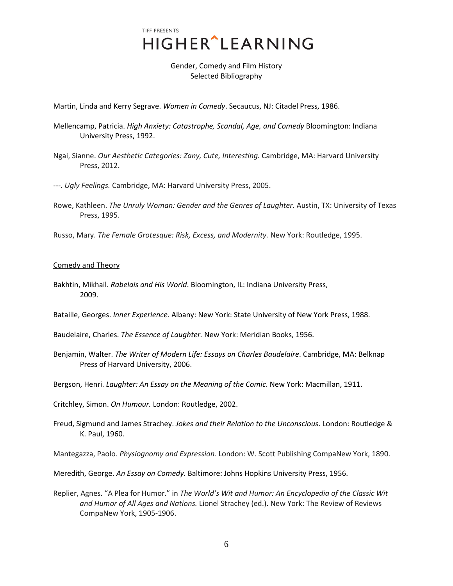Gender, Comedy and Film History Selected Bibliography

Martin, Linda and Kerry Segrave. *Women in Comedy*. Secaucus, NJ: Citadel Press, 1986.

- Mellencamp, Patricia. *High Anxiety: Catastrophe, Scandal, Age, and Comedy* Bloomington: Indiana University Press, 1992.
- Ngai, Sianne. *Our Aesthetic Categories: Zany, Cute, Interesting.* Cambridge, MA: Harvard University Press, 2012.
- *---. Ugly Feelings.* Cambridge, MA: Harvard University Press, 2005.
- Rowe, Kathleen. *The Unruly Woman: Gender and the Genres of Laughter.* Austin, TX: University of Texas Press, 1995.
- Russo, Mary. *The Female Grotesque: Risk, Excess, and Modernity.* New York: Routledge, 1995.

#### Comedy and Theory

Bakhtin, Mikhail. *Rabelais and His World*. Bloomington, IL: Indiana University Press, 2009.

Bataille, Georges. *Inner Experience*. Albany: New York: State University of New York Press, 1988.

Baudelaire, Charles. *The Essence of Laughter.* New York: Meridian Books, 1956.

Benjamin, Walter. *The Writer of Modern Life: Essays on Charles Baudelaire*. Cambridge, MA: Belknap Press of Harvard University, 2006.

Bergson, Henri. *Laughter: An Essay on the Meaning of the Comic*. New York: Macmillan, 1911.

Critchley, Simon. *On Humour.* London: Routledge, 2002.

Freud, Sigmund and James Strachey. *Jokes and their Relation to the Unconscious*. London: Routledge & K. Paul, 1960.

Mantegazza, Paolo. *Physiognomy and Expression.* London: W. Scott Publishing CompaNew York, 1890.

Meredith, George. *An Essay on Comedy.* Baltimore: Johns Hopkins University Press, 1956.

Replier, Agnes. "A Plea for Humor." in *The World's Wit and Humor: An Encyclopedia of the Classic Wit and Humor of All Ages and Nations.* Lionel Strachey (ed.). New York: The Review of Reviews CompaNew York, 1905-1906.